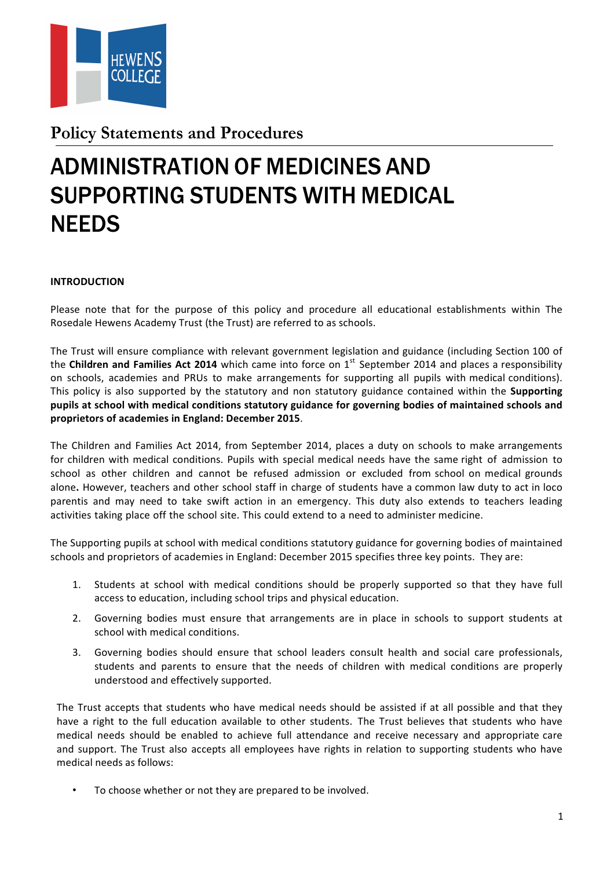

**Policy Statements and Procedures** 

# ADMINISTRATION OF MEDICINES AND SUPPORTING STUDENTS WITH MEDICAL **NEEDS**

#### **INTRODUCTION**

Please note that for the purpose of this policy and procedure all educational establishments within The Rosedale Hewens Academy Trust (the Trust) are referred to as schools.

The Trust will ensure compliance with relevant government legislation and guidance (including Section 100 of the **Children and Families Act 2014** which came into force on 1<sup>st</sup> September 2014 and places a responsibility on schools, academies and PRUs to make arrangements for supporting all pupils with medical conditions). This policy is also supported by the statutory and non statutory guidance contained within the **Supporting** pupils at school with medical conditions statutory guidance for governing bodies of maintained schools and proprietors of academies in England: December 2015.

The Children and Families Act 2014, from September 2014, places a duty on schools to make arrangements for children with medical conditions. Pupils with special medical needs have the same right of admission to school as other children and cannot be refused admission or excluded from school on medical grounds alone. However, teachers and other school staff in charge of students have a common law duty to act in loco parentis and may need to take swift action in an emergency. This duty also extends to teachers leading activities taking place off the school site. This could extend to a need to administer medicine.

The Supporting pupils at school with medical conditions statutory guidance for governing bodies of maintained schools and proprietors of academies in England: December 2015 specifies three key points. They are:

- 1. Students at school with medical conditions should be properly supported so that they have full access to education, including school trips and physical education.
- 2. Governing bodies must ensure that arrangements are in place in schools to support students at school with medical conditions.
- 3. Governing bodies should ensure that school leaders consult health and social care professionals, students and parents to ensure that the needs of children with medical conditions are properly understood and effectively supported.

The Trust accepts that students who have medical needs should be assisted if at all possible and that they have a right to the full education available to other students. The Trust believes that students who have medical needs should be enabled to achieve full attendance and receive necessary and appropriate care and support. The Trust also accepts all employees have rights in relation to supporting students who have medical needs as follows:

To choose whether or not they are prepared to be involved.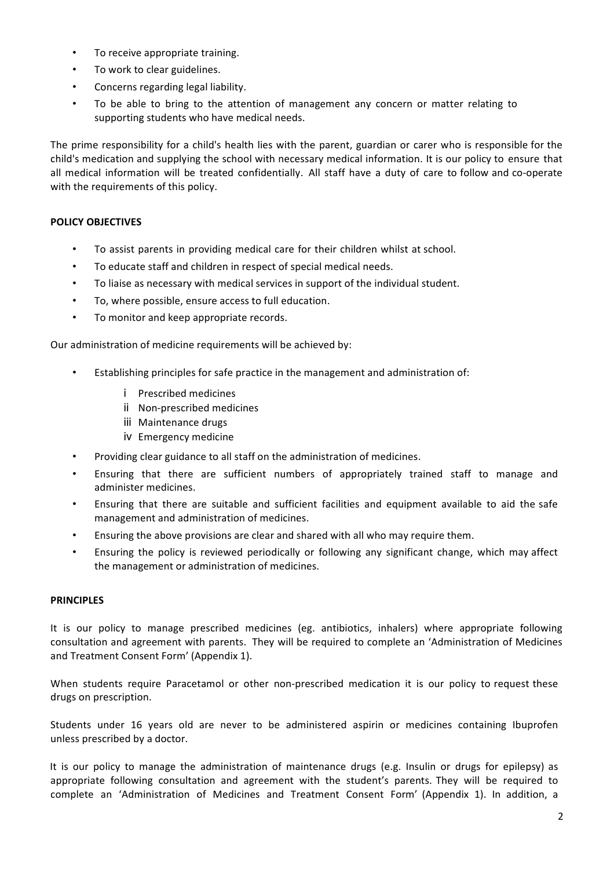- To receive appropriate training.
- To work to clear guidelines.
- Concerns regarding legal liability.
- To be able to bring to the attention of management any concern or matter relating to supporting students who have medical needs.

The prime responsibility for a child's health lies with the parent, guardian or carer who is responsible for the child's medication and supplying the school with necessary medical information. It is our policy to ensure that all medical information will be treated confidentially. All staff have a duty of care to follow and co-operate with the requirements of this policy.

#### **POLICY OBJECTIVES**

- To assist parents in providing medical care for their children whilst at school.
- To educate staff and children in respect of special medical needs.
- To liaise as necessary with medical services in support of the individual student.
- To, where possible, ensure access to full education.
- To monitor and keep appropriate records.

Our administration of medicine requirements will be achieved by:

- Establishing principles for safe practice in the management and administration of:
	- i Prescribed medicines
	- ii Non-prescribed medicines
	- iii Maintenance drugs
	- iv Emergency medicine
- Providing clear guidance to all staff on the administration of medicines.
- Ensuring that there are sufficient numbers of appropriately trained staff to manage and administer medicines.
- Ensuring that there are suitable and sufficient facilities and equipment available to aid the safe management and administration of medicines.
- Ensuring the above provisions are clear and shared with all who may require them.
- Ensuring the policy is reviewed periodically or following any significant change, which may affect the management or administration of medicines.

#### **PRINCIPLES**

It is our policy to manage prescribed medicines (eg. antibiotics, inhalers) where appropriate following consultation and agreement with parents. They will be required to complete an 'Administration of Medicines and Treatment Consent Form' (Appendix 1).

When students require Paracetamol or other non-prescribed medication it is our policy to request these drugs on prescription.

Students under 16 years old are never to be administered aspirin or medicines containing Ibuprofen unless prescribed by a doctor.

It is our policy to manage the administration of maintenance drugs (e.g. Insulin or drugs for epilepsy) as appropriate following consultation and agreement with the student's parents. They will be required to complete an 'Administration of Medicines and Treatment Consent Form' (Appendix 1). In addition, a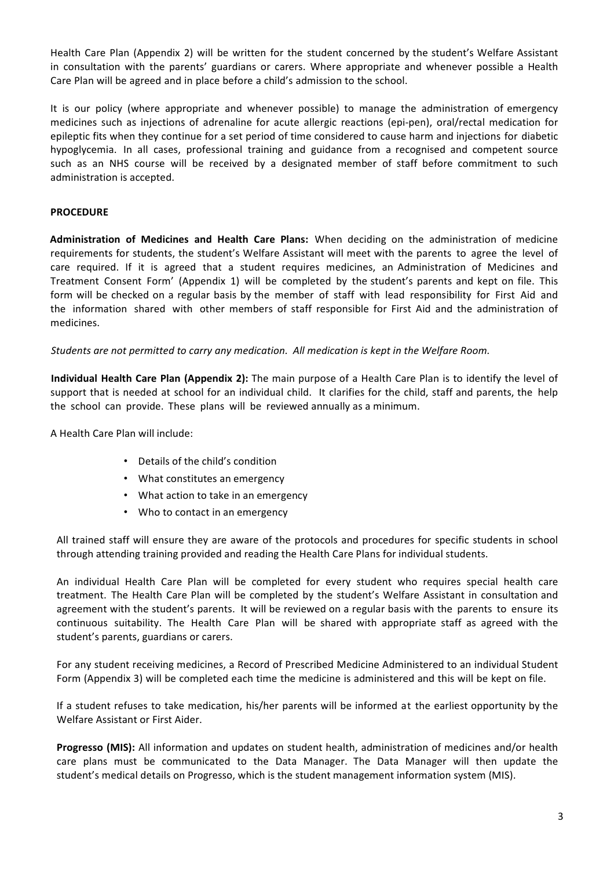Health Care Plan (Appendix 2) will be written for the student concerned by the student's Welfare Assistant in consultation with the parents' guardians or carers. Where appropriate and whenever possible a Health Care Plan will be agreed and in place before a child's admission to the school.

It is our policy (where appropriate and whenever possible) to manage the administration of emergency medicines such as injections of adrenaline for acute allergic reactions (epi-pen), oral/rectal medication for epileptic fits when they continue for a set period of time considered to cause harm and injections for diabetic hypoglycemia. In all cases, professional training and guidance from a recognised and competent source such as an NHS course will be received by a designated member of staff before commitment to such administration is accepted.

#### **PROCEDURE**

**Administration of Medicines and Health Care Plans:** When deciding on the administration of medicine requirements for students, the student's Welfare Assistant will meet with the parents to agree the level of care required. If it is agreed that a student requires medicines, an Administration of Medicines and Treatment Consent Form' (Appendix 1) will be completed by the student's parents and kept on file. This form will be checked on a regular basis by the member of staff with lead responsibility for First Aid and the information shared with other members of staff responsible for First Aid and the administration of medicines.

*Students are not permitted to carry any medication. All medication is kept in the Welfare Room.* 

**Individual Health Care Plan (Appendix 2):** The main purpose of a Health Care Plan is to identify the level of support that is needed at school for an individual child. It clarifies for the child, staff and parents, the help the school can provide. These plans will be reviewed annually as a minimum.

A Health Care Plan will include:

- Details of the child's condition
- What constitutes an emergency
- What action to take in an emergency
- Who to contact in an emergency

All trained staff will ensure they are aware of the protocols and procedures for specific students in school through attending training provided and reading the Health Care Plans for individual students.

An individual Health Care Plan will be completed for every student who requires special health care treatment. The Health Care Plan will be completed by the student's Welfare Assistant in consultation and agreement with the student's parents. It will be reviewed on a regular basis with the parents to ensure its continuous suitability. The Health Care Plan will be shared with appropriate staff as agreed with the student's parents, guardians or carers.

For any student receiving medicines, a Record of Prescribed Medicine Administered to an individual Student Form (Appendix 3) will be completed each time the medicine is administered and this will be kept on file.

If a student refuses to take medication, his/her parents will be informed at the earliest opportunity by the Welfare Assistant or First Aider.

**Progresso (MIS):** All information and updates on student health, administration of medicines and/or health care plans must be communicated to the Data Manager. The Data Manager will then update the student's medical details on Progresso, which is the student management information system (MIS).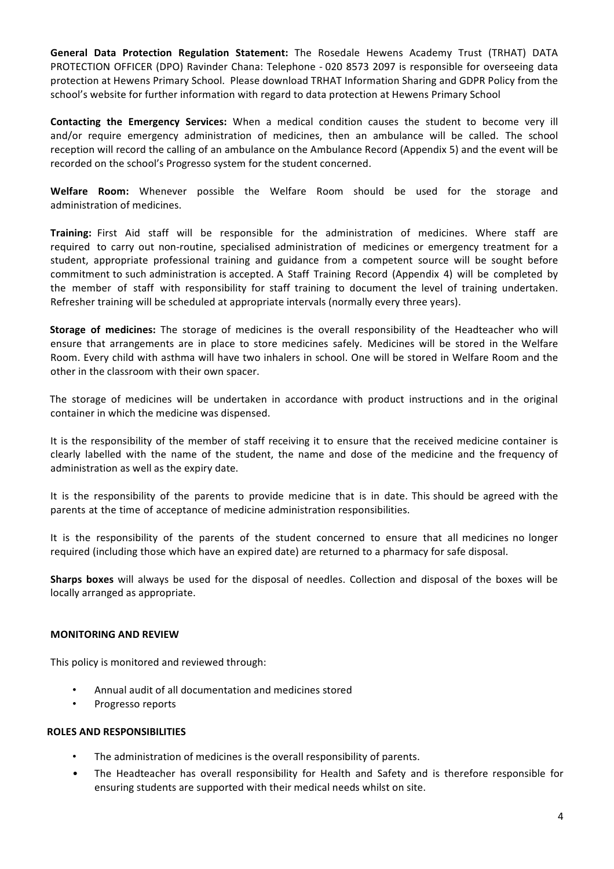**General Data Protection Regulation Statement:** The Rosedale Hewens Academy Trust (TRHAT) DATA PROTECTION OFFICER (DPO) Ravinder Chana: Telephone - 020 8573 2097 is responsible for overseeing data protection at Hewens Primary School. Please download TRHAT Information Sharing and GDPR Policy from the school's website for further information with regard to data protection at Hewens Primary School

**Contacting the Emergency Services:** When a medical condition causes the student to become very ill and/or require emergency administration of medicines, then an ambulance will be called. The school reception will record the calling of an ambulance on the Ambulance Record (Appendix 5) and the event will be recorded on the school's Progresso system for the student concerned.

**Welfare Room:** Whenever possible the Welfare Room should be used for the storage and administration of medicines.

**Training:** First Aid staff will be responsible for the administration of medicines. Where staff are required to carry out non-routine, specialised administration of medicines or emergency treatment for a student, appropriate professional training and guidance from a competent source will be sought before commitment to such administration is accepted. A Staff Training Record (Appendix 4) will be completed by the member of staff with responsibility for staff training to document the level of training undertaken. Refresher training will be scheduled at appropriate intervals (normally every three years).

**Storage of medicines:** The storage of medicines is the overall responsibility of the Headteacher who will ensure that arrangements are in place to store medicines safely. Medicines will be stored in the Welfare Room. Every child with asthma will have two inhalers in school. One will be stored in Welfare Room and the other in the classroom with their own spacer.

The storage of medicines will be undertaken in accordance with product instructions and in the original container in which the medicine was dispensed.

It is the responsibility of the member of staff receiving it to ensure that the received medicine container is clearly labelled with the name of the student, the name and dose of the medicine and the frequency of administration as well as the expiry date.

It is the responsibility of the parents to provide medicine that is in date. This should be agreed with the parents at the time of acceptance of medicine administration responsibilities.

It is the responsibility of the parents of the student concerned to ensure that all medicines no longer required (including those which have an expired date) are returned to a pharmacy for safe disposal.

**Sharps boxes** will always be used for the disposal of needles. Collection and disposal of the boxes will be locally arranged as appropriate.

#### **MONITORING AND REVIEW**

This policy is monitored and reviewed through:

- Annual audit of all documentation and medicines stored
- Progresso reports

#### **ROLES AND RESPONSIBILITIES**

- The administration of medicines is the overall responsibility of parents.
- The Headteacher has overall responsibility for Health and Safety and is therefore responsible for ensuring students are supported with their medical needs whilst on site.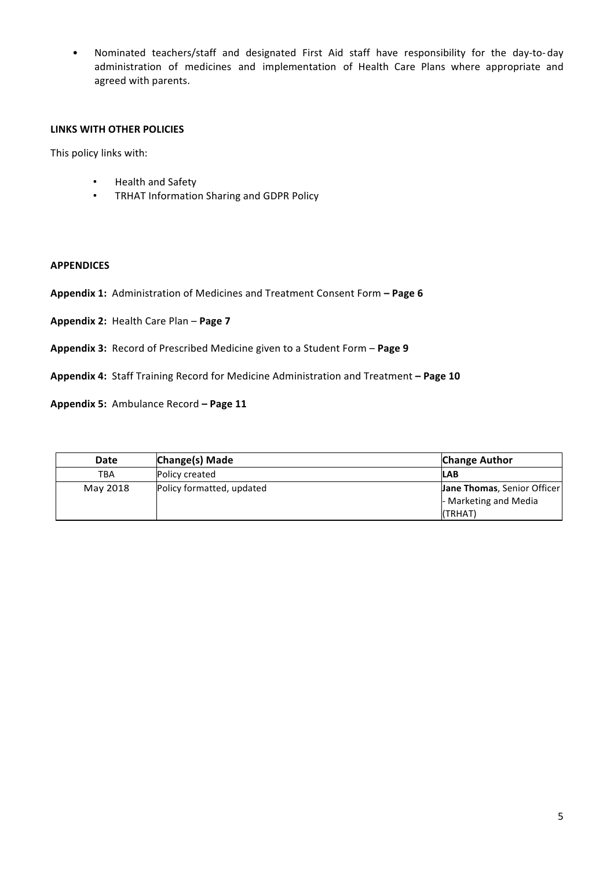• Nominated teachers/staff and designated First Aid staff have responsibility for the day-to-day administration of medicines and implementation of Health Care Plans where appropriate and agreed with parents.

#### **LINKS WITH OTHER POLICIES**

This policy links with:

- Health and Safety
- TRHAT Information Sharing and GDPR Policy

#### **APPENDICES**

Appendix 1: Administration of Medicines and Treatment Consent Form - Page 6

Appendix 2: Health Care Plan - Page 7

Appendix 3: Record of Prescribed Medicine given to a Student Form – Page 9

Appendix 4: Staff Training Record for Medicine Administration and Treatment - Page 10

Appendix 5: Ambulance Record - Page 11

| Date       | Change(s) Made            | <b>Change Author</b>        |
|------------|---------------------------|-----------------------------|
| <b>TBA</b> | Policy created            | <b>LAB</b>                  |
| May 2018   | Policy formatted, updated | Jane Thomas, Senior Officer |
|            |                           | - Marketing and Media       |
|            |                           | (TRHAT)                     |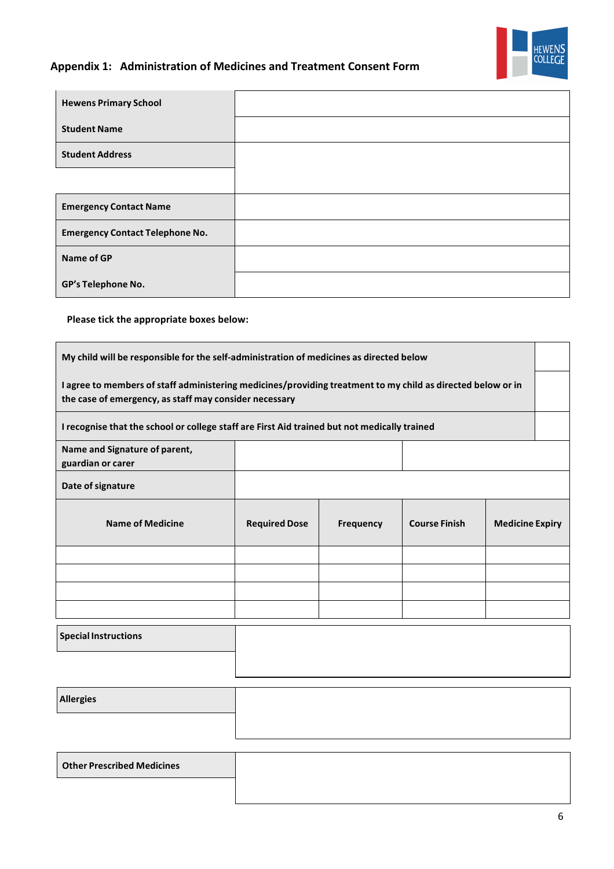

# **Appendix 1: Administration of Medicines and Treatment Consent Form**

| <b>Hewens Primary School</b>           |  |
|----------------------------------------|--|
| <b>Student Name</b>                    |  |
| <b>Student Address</b>                 |  |
|                                        |  |
| <b>Emergency Contact Name</b>          |  |
| <b>Emergency Contact Telephone No.</b> |  |
| <b>Name of GP</b>                      |  |
| GP's Telephone No.                     |  |

**Please tick the appropriate boxes below:**

| My child will be responsible for the self-administration of medicines as directed below                                                                               |                      |                  |                      |                        |  |
|-----------------------------------------------------------------------------------------------------------------------------------------------------------------------|----------------------|------------------|----------------------|------------------------|--|
| I agree to members of staff administering medicines/providing treatment to my child as directed below or in<br>the case of emergency, as staff may consider necessary |                      |                  |                      |                        |  |
| I recognise that the school or college staff are First Aid trained but not medically trained                                                                          |                      |                  |                      |                        |  |
| Name and Signature of parent,<br>guardian or carer                                                                                                                    |                      |                  |                      |                        |  |
| Date of signature                                                                                                                                                     |                      |                  |                      |                        |  |
| <b>Name of Medicine</b>                                                                                                                                               | <b>Required Dose</b> | <b>Frequency</b> | <b>Course Finish</b> | <b>Medicine Expiry</b> |  |
|                                                                                                                                                                       |                      |                  |                      |                        |  |
|                                                                                                                                                                       |                      |                  |                      |                        |  |
|                                                                                                                                                                       |                      |                  |                      |                        |  |
|                                                                                                                                                                       |                      |                  |                      |                        |  |
|                                                                                                                                                                       |                      |                  |                      |                        |  |

 **Special Instructions**

| Allergies |  |
|-----------|--|
|           |  |
|           |  |

**Other Prescribed Medicines**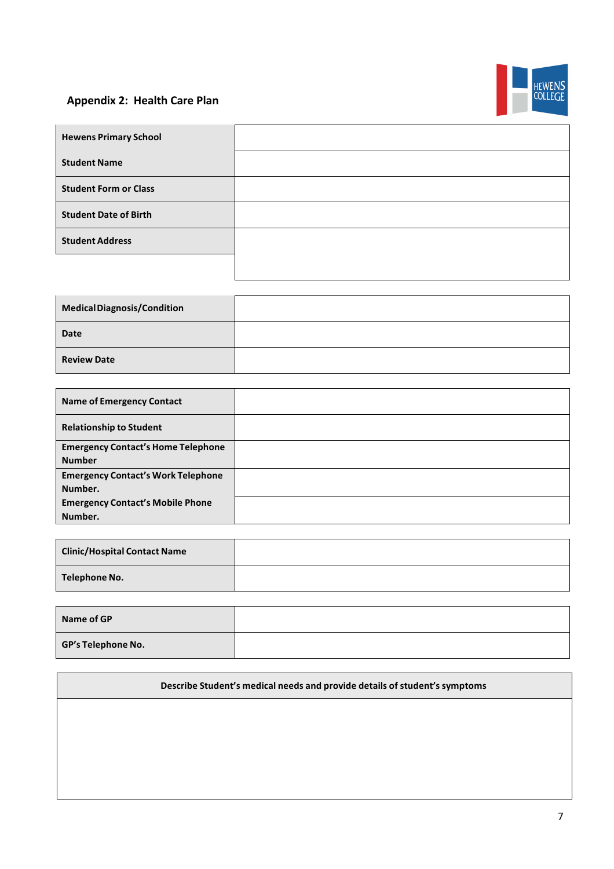# **Appendix 2: Health Care Plan**



| <b>Hewens Primary School</b> |  |
|------------------------------|--|
| <b>Student Name</b>          |  |
| <b>Student Form or Class</b> |  |
| <b>Student Date of Birth</b> |  |
| <b>Student Address</b>       |  |
|                              |  |

| Medical Diagnosis/Condition |  |
|-----------------------------|--|
| <b>Date</b>                 |  |
| <b>Review Date</b>          |  |

| <b>Name of Emergency Contact</b>                           |  |
|------------------------------------------------------------|--|
| <b>Relationship to Student</b>                             |  |
| <b>Emergency Contact's Home Telephone</b><br><b>Number</b> |  |
| <b>Emergency Contact's Work Telephone</b><br>Number.       |  |
| <b>Emergency Contact's Mobile Phone</b><br>Number.         |  |

| <b>Clinic/Hospital Contact Name</b> |  |
|-------------------------------------|--|
| Telephone No.                       |  |

| Name of GP                |  |
|---------------------------|--|
| <b>GP's Telephone No.</b> |  |

## **Describe Student's medical needs and provide details of student's symptoms**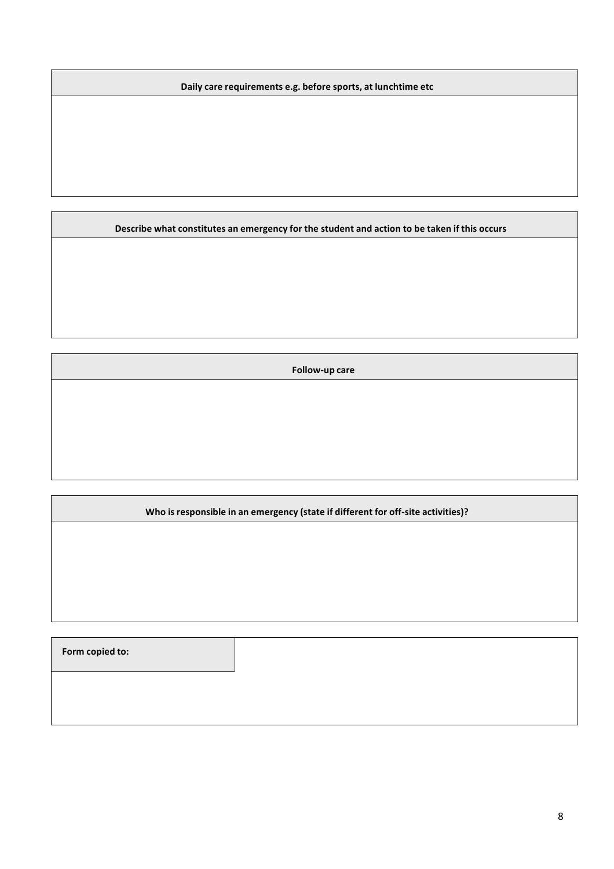**Daily care requirements e.g. before sports, at lunchtime etc**

**Describe what constitutes an emergency for the student and action to be taken if this occurs**

**Follow-up care**

**Who is responsible in an emergency (state if different for off-site activities)?**

**Form** copied to: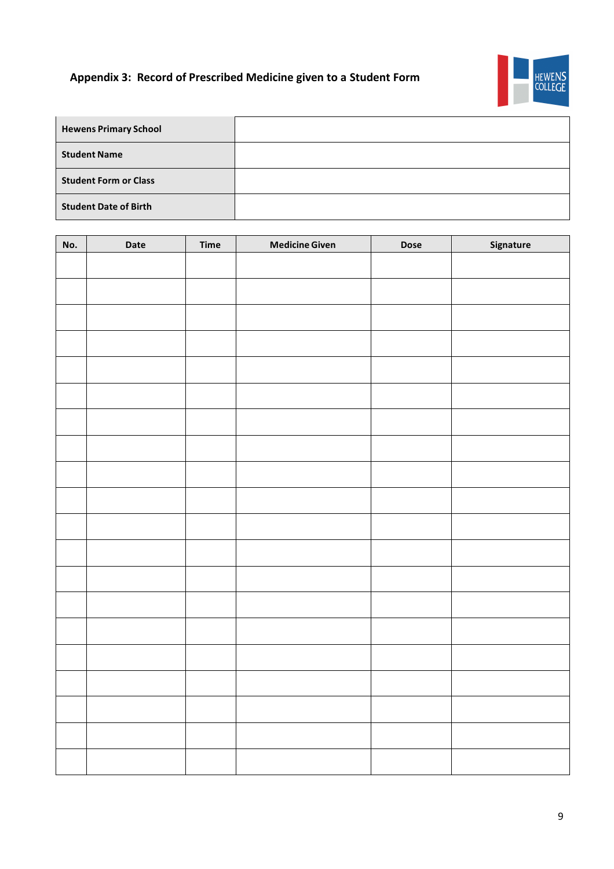# **Appendix 3: Record of Prescribed Medicine given to a Student Form**



| <b>Hewens Primary School</b> |  |
|------------------------------|--|
| <b>Student Name</b>          |  |
| <b>Student Form or Class</b> |  |
| <b>Student Date of Birth</b> |  |

| No. | Date | <b>Time</b> | <b>Medicine Given</b> | <b>Dose</b> | Signature |
|-----|------|-------------|-----------------------|-------------|-----------|
|     |      |             |                       |             |           |
|     |      |             |                       |             |           |
|     |      |             |                       |             |           |
|     |      |             |                       |             |           |
|     |      |             |                       |             |           |
|     |      |             |                       |             |           |
|     |      |             |                       |             |           |
|     |      |             |                       |             |           |
|     |      |             |                       |             |           |
|     |      |             |                       |             |           |
|     |      |             |                       |             |           |
|     |      |             |                       |             |           |
|     |      |             |                       |             |           |
|     |      |             |                       |             |           |
|     |      |             |                       |             |           |
|     |      |             |                       |             |           |
|     |      |             |                       |             |           |
|     |      |             |                       |             |           |
|     |      |             |                       |             |           |
|     |      |             |                       |             |           |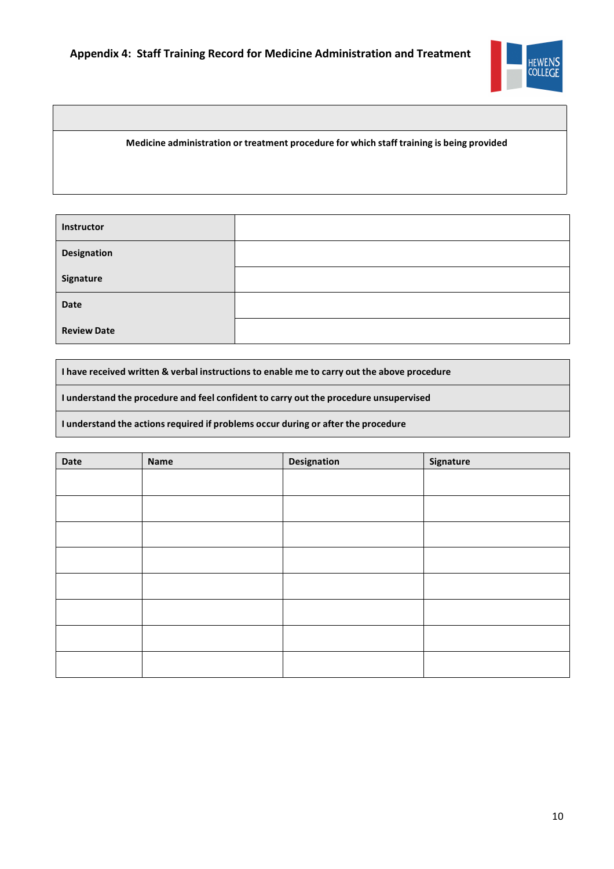

**Medicine administration or treatment procedure for which staff training is being provided**

| Instructor         |  |
|--------------------|--|
| Designation        |  |
| Signature          |  |
| <b>Date</b>        |  |
| <b>Review Date</b> |  |

**I have received written & verbal instructions to enable me to carry out the above procedure**

**I understand the procedure and feel confident to carry out the procedure unsupervised**

**I understand the actionsrequired if problems occur during or after the procedure**

| Date | <b>Name</b> | <b>Designation</b> | Signature |
|------|-------------|--------------------|-----------|
|      |             |                    |           |
|      |             |                    |           |
|      |             |                    |           |
|      |             |                    |           |
|      |             |                    |           |
|      |             |                    |           |
|      |             |                    |           |
|      |             |                    |           |